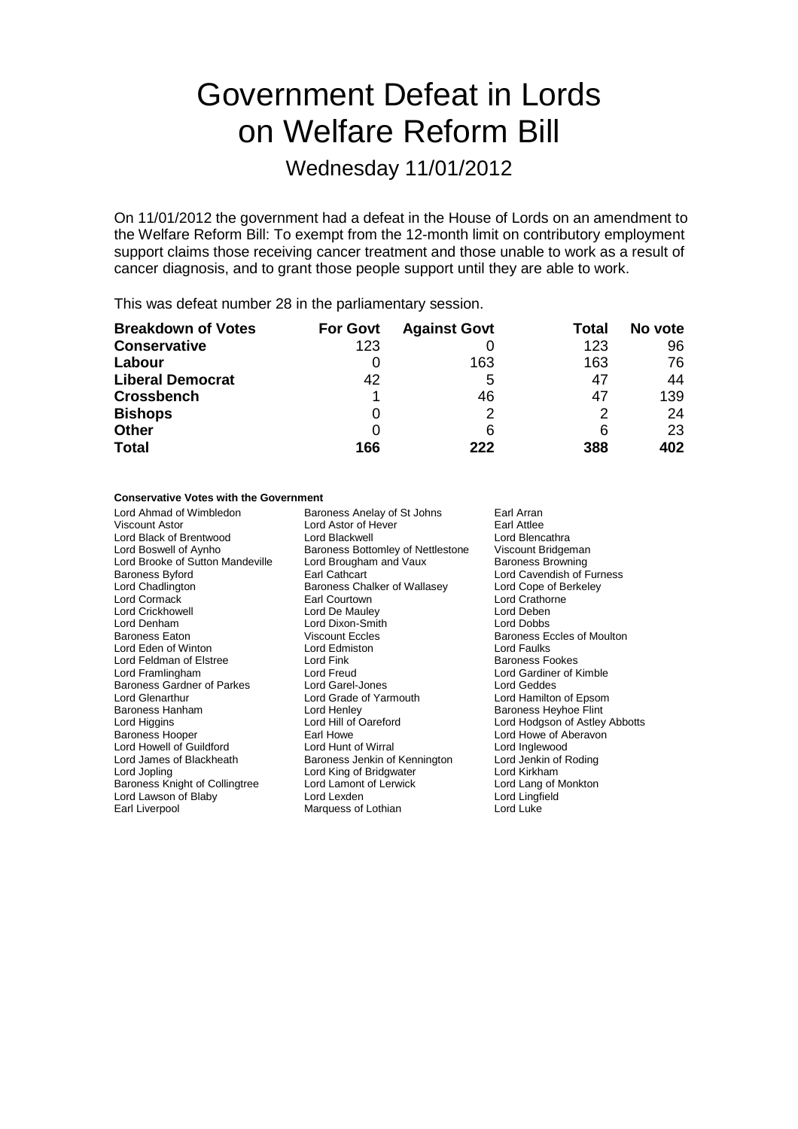# Government Defeat in Lords on Welfare Reform Bill

### Wednesday 11/01/2012

On 11/01/2012 the government had a defeat in the House of Lords on an amendment to the Welfare Reform Bill: To exempt from the 12-month limit on contributory employment support claims those receiving cancer treatment and those unable to work as a result of cancer diagnosis, and to grant those people support until they are able to work.

This was defeat number 28 in the parliamentary session.

| <b>Breakdown of Votes</b> | <b>For Govt</b> | <b>Against Govt</b> | Total | No vote |
|---------------------------|-----------------|---------------------|-------|---------|
| <b>Conservative</b>       | 123             |                     | 123   | 96      |
| Labour                    |                 | 163                 | 163   | 76      |
| <b>Liberal Democrat</b>   | 42              | 5                   | 47    | 44      |
| <b>Crossbench</b>         |                 | 46                  | 47    | 139     |
| <b>Bishops</b>            | 0               |                     |       | 24      |
| <b>Other</b>              |                 | 6                   | 6     | 23      |
| <b>Total</b>              | 166             | 222                 | 388   | 402     |

#### **Conservative Votes with the Government**

Lord Ahmad of Wimbledon Baroness Anelay of St Johns Earl Arran<br>Viscount Astor **Baroness Anelay Cord Astor of Hever** Earl Attlee Lord Black of Brentwood Lord Blackwell Lord Blencathra<br>
Lord Boswell of Aynho **Collage Baroness Bottomley of Nettlestone** Viscount Bridgeman Lord Brooke of Sutton Mandeville Lord Brougham and Vaux Baroness Byford **Earl Cathcart** Earl Cathcart Lord Cavendish of Furness<br>
Lord Chadlington **Earl Cathcart** Baroness Chalker of Wallasey Lord Cope of Berkeley Lord Chadlington **Baroness Chalker of Wallasey**<br>
Lord Cormack **Baroness Chalker of Wallasey**<br>
Earl Courtown Lord Crickhowell Lord De Mauley Lord De Mauley Lord Deben<br>
Lord Denham Lord Dixon-Smith Lord Dobbs Lord Denham Lord Dixon-Smith Baroness Eaton Niscount Eccles Lord Eden of Winton Lord Edmiston Lord Faulks Lord Feldman of Elstree **Lord Fink** Electronic Baroness Fookes<br>
Lord Framlingham **Baroness Fookes**<br>
Lord Freud
Baroness Fookes Baroness Gardner of Parkes Lord Garel-Jones Lord Getdes<br>
Lord Glenarthur Lord Grade of Yarmouth Lord Hamilton of Epsom Baroness Hanham Lord Henley Baroness Heyhoe Flint Baroness Hooper **Earl Howe Communist Earl Howe** Lord Howe of Aberavon Lord Howell of Guildford Lord Hunt of Wirral Lord Inglewood Lord James of Blackheath Baroness Jenkin of Kennington Lord Jenkin of Roding<br>Lord Jopling Lord King of Bridgwater Lord Kirkham Baroness Knight of Collingtree Lord Lawson of Blaby **Lord Lord Lexden** Lord Lord Lingfield<br>
Earl Liverpool **Carl Luke** Marquess of Lothian **Lord Luke** Lord Luke

Lord Astor of Hever **Figure 2018** Earl Attlee<br>
Lord Blackwell<br>
Lord Blencathra Exaroness Bottomley of Nettlestone Viscount Bridgeman<br>Lord Brougham and Vaux Baroness Browning Earl Courtown **Lord Crathorne**<br>
Lord De Maulev **Lord Crathorne** Baroness Eaton Viscount Eccles Baroness Eccles of Moulton Lord Freud **Lord Gardiner of Kimble**<br>
Lord Garel-Jones **Lord Geddes** Lord Grade of Yarmouth Lord Hill of Oareford Lord Hodgson of Astley Abbotts<br>
Earl Howe Careford Lord Howe of Aberavon Lord King of Bridgwater<br>
Lord Lamont of Lerwick<br>
Lord Lang of Monkton Marquess of Lothian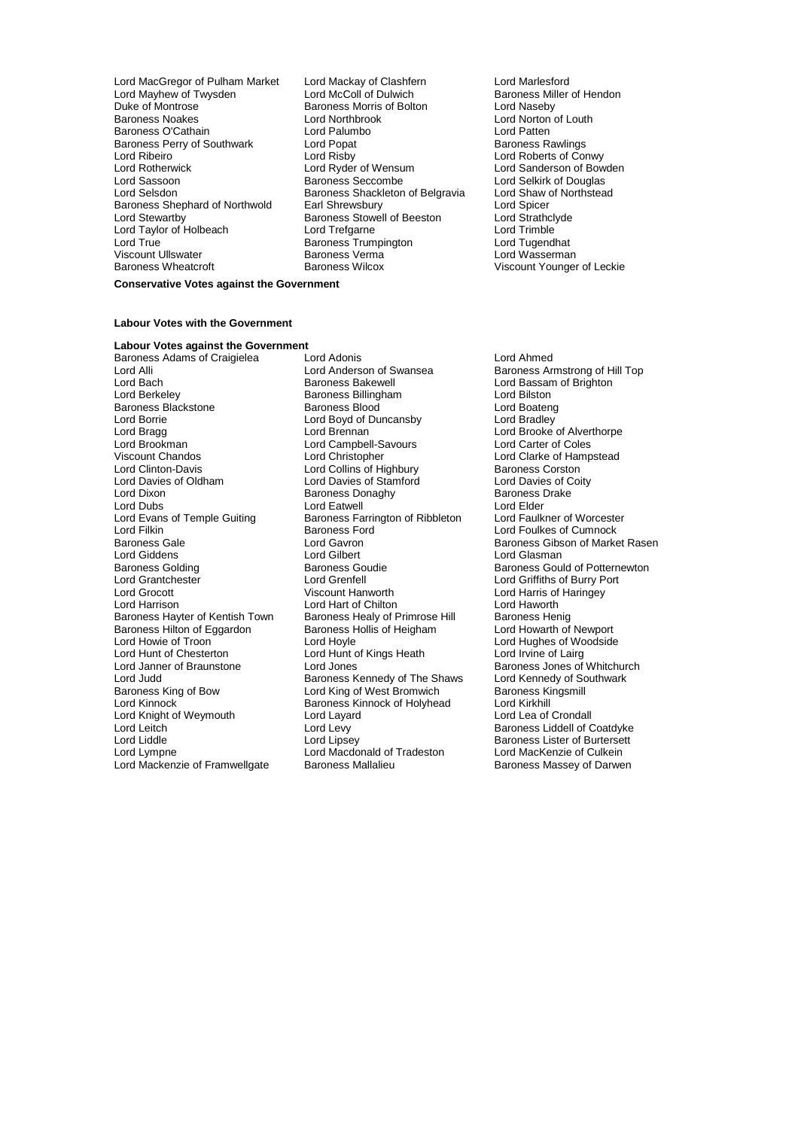- Lord MacGregor of Pulham Market Lord Mackay of Clashfern Lord Marlesford Lord Mayhew of Twysden Lord McColl of Dulwich Baroness Miller of Hendon<br>
Lord Maseby<br>
Duke of Montrose Baroness Morris of Bolton Lord Naseby Baroness Noakes Lord Northbrook Lord Norton of Louth Baroness O'Cathain **Lord Palumbo**<br>
Baroness Perry of Southwark **Lord Poper** Lord Poper<br>
Lord Poper<br>
Lord Poper<br>
Cord Poper<br>
Cord Poper<br>
Baroness Rawlings Baroness Perry of Southwark Lord Popat<br>Lord Ribeiro **Baroness Rawlings** Lord Risby Lord Rotherwick **Lord Ryder of Wensum** Cord Sanderson of Bowden<br>
Lord Sassoon **Lord Sexual Baroness Seccombe** Lord Selkirk of Douglas Lord Sassoon **Baroness Seccombe** Lord Selkirk of Douglas<br>
Lord Selsdon **Baroness Shackleton of Belgravia** Lord Shaw of Northstead Baroness Shephard of Northwold Earl Shrewsbury<br>
Lord Stewartby **Earl Shrewsbury Baroness Stowell of Beeston** Lord Strathclyde Lord Taylor of Holbeach Lord Trefgarne Lord Treform Lord Trimble<br>
Lord True Lord Tunendhat Baroness Trumpington Lord Tunendhat Lord True<br>
Viscount Ullswater<br>
Viscount Ullswater
Conness Verma Viscount Ullswater Baroness Verma Lord Wasserman
	- Baroness Morris of Bolton Lord Risby Lord Roberts of Conwy<br>
	Lord Ryder of Wensum Lord Sanderson of Bow Baroness Shackleton of Belgravia<br>Earl Shrewsbury Baroness Stowell of Beeston Lord Strathcly<br>
	Lord Trefgarne Lord Trimble
- Viscount Younger of Leckie

#### **Conservative Votes against the Government**

#### **Labour Votes with the Government**

### **Labour Votes against the Government**

Lord Alli Lord Anderson of Swansea Baroness Armstrong of Hill Top<br>Lord Bach Baroness Bakewell Lord Bassam of Brighton Lord Bach **Baroness Bakewell Baroness Bakewell** Lord Bassam of Brighton<br>
Lord Berkeley **Baroness Billingham** Lord Bilston Baroness Blackstone **Baroness Blood** Baroness Blood Lord Boateng<br>
Lord Boateng<br>
Lord Boyd of Duncansby Lord Bradley Lord Borrie **Lord Boyd of Duncansby**<br>
Lord Bragg **Lord Brennan** Lord Branch Lord Brennan Lord Brennan Lord Brennan Lord Brooke of Alverthorpe<br>
Lord Brookman Lord Campbell-Savours Lord Carter of Coles Lord Brookman Lord Campbell-Savours<br>
Viscount Chandos Coles Lord Christopher Lord Clinton-Davis **Lord Collins of Highbury** Baroness Corston<br>
Lord Davies of Oldham **Lord Davies of Stamford** Lord Davies of Coity Lord Davies of Oldham Lord Davies of Stamford Lord Davies of C<br>
Lord Dixon Corp Caroness Donaghy Corp Baroness Davies Drake Lord Dixon Baroness Donaghy Baroness Donaghy<br>
Lord Dubs Baroness Donaghy Baroness Donaghy<br>
Lord Dubs Baroness Donaghy Baroness Donaghy Lord Dubs<br>
Lord Evans of Temple Guiting Exercise Earrington of Ribbleton Lord Eaulkner of Worcester Lord Filkin Lord Filkin Commode Commode Commode Baroness Ford Cumnock<br>Baroness Gale Commode Lord Gavron Lord Cumnock Baroness Gibson of Marke Baroness Gale Lord Gavron Baroness Gibson of Market Rasen Lord Giddens **Lord Gilbert** Lord Gilbert Lord Gilbert Lord Glasman<br>
Baroness Golding **Contains Baroness Goudie** Baroness Gou Baroness Golding **Baroness Goudie** Baroness Gould of Potternewton<br>
Baroness Gould of Potternewton<br>
Lord Grantchester **Baroness Gould of Burry Port** Lord Grantchester Lord Grenfell Lord Griffiths of Burry Port Lord Harrison **Lord Hart of Chilton** Lord Hart of Chilton Lord Haworth<br>Baroness Hayter of Kentish Town Baroness Healy of Primrose Hill Baroness Henig Baroness Hilton of Eggardon<br>Lord Howie of Troon Lord Hunt of Chesterton Lord Hunt of Kings Heath Lord Irvine of Lairg<br>
Lord Janner of Braunstone Lord Jones Lord Saroness Jones of Lord Judd<br>
Baroness King of Bow **Baroness Kennedy of The Shaws** Lord Kennedy of Southware Baroness Kingsmill Baroness King of Bow Lord King of West Bromwich Baroness Kingsmill Baroness Kingsmill Baroness Kinnock of Holyhead Lord Kirkhill Lord Knight of Weymouth Lord Layard Lord Layard Lord Layard Levy<br>
Lord Leitch Lord Liddle Lord Lipsey Lord Lipsey Baroness Lister of Burtersett<br>
Lord Lympne Lord Macdonald of Tradeston Lord MacKenzie of Culkein Lord Mackenzie of Framwellgate

Baroness Adams of Craigielea Lord Adonis Lord Ahmed Lord Berkeley Baroness Billingham Lord Bilston Baroness Farrington of Ribbleton<br>Baroness Ford Baroness Healy of Primrose Hill Baroness Henig<br>Baroness Hollis of Heigham Lord Howarth of Newport Lord Howie of Troon Lord Hoyle Lord Hughes of Woodside Baroness Kinnock of Holyhead Lord Kirkhill<br>Lord Lavard Lord Lea of Crondall Lord Macdonald of Tradeston Lord MacKenzie of Culkein<br>Baroness Mallalieu Baroness Massey of Darwen

Lord Clarke of Hampstead Lord Harris of Haringey Baroness Jones of Whitchurch<br>Lord Kennedy of Southwark Baroness Liddell of Coatdyke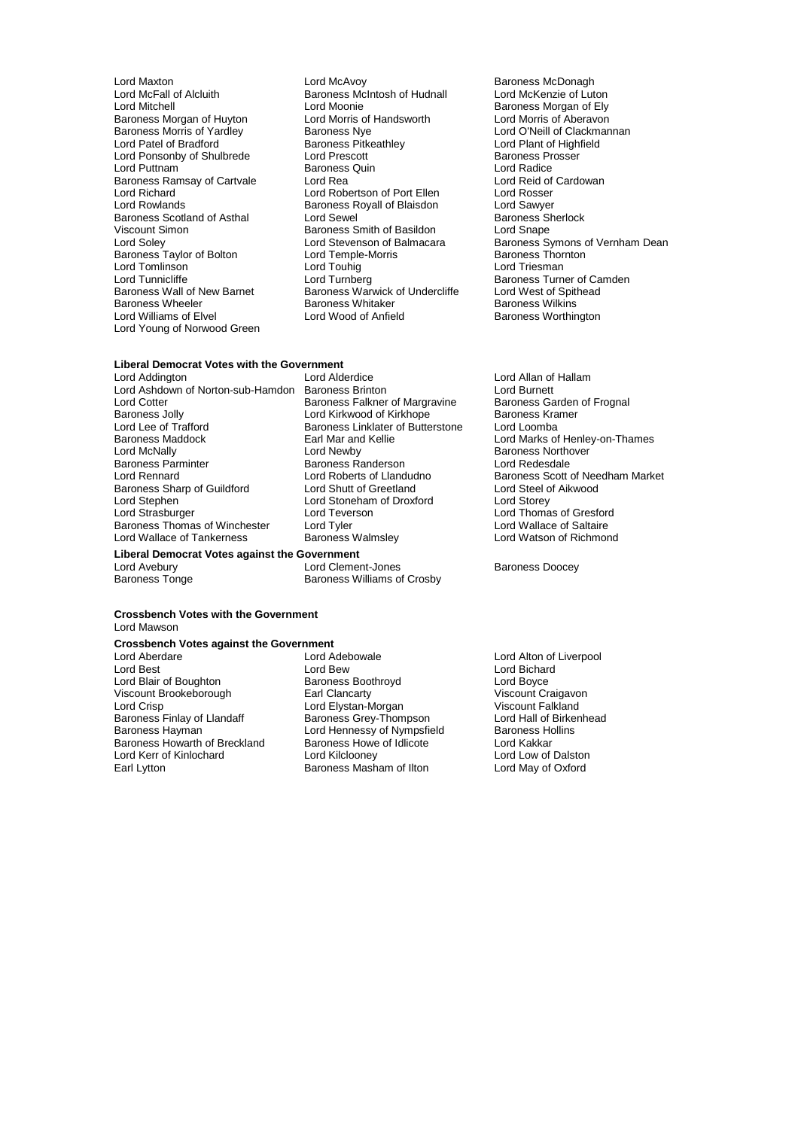- Lord McFall of Alcluith Baroness McIntosh of Hudnall<br>
Lord Mitchell Cord Moonie of Lutonie of Lord Moonie Lord Tomlinson<br>
Lord Tunnicliffe 
Lord Tunnerg<br>
Lord Tunnerg Baroness Wheeler **Baroness Whitaker Baroness Whitaker**<br> **Baroness Whitaker Baroness Whitaker Lord Williams of Elvel Baroness Whitaker** Lord Young of Norwood Green
- Lord Maxton **Communist Communist Communist Communist Communist Communist Communist Communist Communist Communist Communist Communist Communist Communist Communist Communist Communist Communist Communist Communist Communist** Lord Moonie<br>
Lord Morris of Handsworth<br>
Lord Morris of Aberavon Baroness Morgan of Huyton Lord Morris of Handsworth Lord Morris of Aberavon<br>Baroness Morris of Yardley Baroness Nye Lord O'Neill of Clackmar Baroness Morris of Yardley Baroness Nye and Baroness Northern Lord O'Neill of Clackmannan<br>
Lord Patel of Bradford **Baroness Pitkeathley** Lord Plant of Highfield **Baroness Pitkeathley Lord Plant of Highfield<br>
Lord Prescott** Baroness Prosser Lord Ponsonby of Shulbrede Lord Prescott **Baroness Provide Lord Prescott** Baroness Prosent Baroness Prosent Baroness Prosent Baroness Prosent Baroness Prosent Baroness Provide Baroness Provide Baroness Provide Baroness Pro Lord Puttnam in the State of Baroness Quin Corporation and Lord Radice<br>
Baroness Ramsay of Cartvale Corporation Lord Rea Baroness Ramsay of Cartvale Lord Rea Lord Robertson of Port Ellen Lord Rosser<br>
Lord Richard Lord Robertson of Port Ellen Lord Rosser Lord Richard **Lord Robertson of Port Ellen** Lord Rosser<br>
Lord Rowlands **Container Baroness Royall of Blaisdon** Lord Sawyer Lord Rowlands Baroness Royall of Blaisdon Lord Sawyer Baroness Scotland of Asthal Lord Sewel (Baroness Scotland of Asthal Lord Search Baroness Sherlock Basildon Baroness Sherlock Chape Baroness Smith of Basildon<br>Lord Stevenson of Balmacara Example Lord Stevenson of Balmacara<br>
Baroness Taylor of Bolton Lord Temple-Morris Baroness Thornton<br>
Lord Touhig<br>
Lord Touhig<br>
Lord Touhig<br>
Lord Touhig<br>
Lord Touhig<br>
Lord Touhig<br>
Lord Tresman Lord Tunnicliffe Lord Turnberg Lord Turnberg Baroness Turner of Camden<br>
Baroness Wall of New Barnet Baroness Warwick of Undercliffe Lord West of Spithead Baroness Wall of New Barnet Baroness Warwick of Undercliffe Lord West of Spithead Corp.<br>Baroness Wheeler Baroness Whitaker Baroness Wilkins
	- Lord Stevenson of Balmacara Baroness Symons of Vernham Dean<br>
	Lord Temple-Morris Baroness Thornton Baroness Worthington

### **Liberal Democrat Votes with the Government**<br>Lord Addington Lord Alderdice

Lord Ashdown of Norton-sub-Hamdon Baroness Brinton Lord Burnett Lord Cotter **Content Content Content Content Content Content Content Content Content Content Content Content Content**<br>Baroness Jolly **Content Content Content Content Content Content Content Content Content Content Content** Baroness Jolly **Lord Kirkwood of Kirkhope** Baroness Kramer Baroness Kramer School Baroness Kramer Baroness Kramer<br>Lord Lee of Trafford **Baroness Linklater of Butterstone** Lord Loomba Lord Lee of Trafford **Baroness Linklater of Butterstone**<br>
Baroness Maddock **Baroness** Linklater and Kellie Baroness Maddock Earl Mar and Kellie Lord Marks of Henley-on-Thames Lord McNally **Communist Communist Lord Newby Communist Communist Communist Communist Communist Communist Communist Communist Communist Communist Communist Communist Communist Communist Communist Communist Communist Commu** Baroness Parminter **Baroness Randerson**<br>
Lord Rennard<br>
Lord Rennard<br>
Lord Roberts of Llandudno Baroness Sharp of Guildford Lord Shutt of Greetland Lord Steel of Aikwood Lord Stephen Lord Stoneham of Droxford Lord Storey Baroness Thomas of Winchester Lord Tyler<br>
Lord Wallace of Tankerness **Container Baroness Walmsley** Lord Watson of Richmond Lord Wallace of Tankerness

#### **Liberal Democrat Votes against the Government**

Lord Teverson Lord Thomas of Gresford<br>
Lord Tyler Lord Wallace of Saltaire

Lord Avebury **Lord Clement-Jones** Baroness Doocey<br>
Baroness Tonge **Baroness Baroness Williams of Crosby** Baroness Williams of Crosby

#### **Crossbench Votes with the Government** Lord Mawson

### **Crossbench Votes against the Government**<br> **Lord Aberdare** Lord Adebowale

- Lord Blair of Boughton **Baroness Boothroyd** Cord Boyce<br>
Viscount Brookeborough Carl Clancarty Carl Bossey Chronic Craigavon Viscount Brookeborough<br>Lord Crisp Lord Crisp Lord Crisp Lord Clancarty<br>
Lord Crisp Lord Crisp Lord Crisp Lord Crisp Lord Crisp Lord Crisp Lord Crisp Lord Crisp Lord Crisp Lord Crisp<br>
Baroness Finlay of Llandaff Baroness Grey-Thompson Lord Hall of Birkenhea Baroness Finlay of Llandaff Baroness Grey-Thompson Baroness Hollins<br>Baroness Havman Baroness Lord Hennessy of Nympsfield Baroness Hollins Baroness Howarth of Breckland Baroness Howe of Idlicote Lord Kakkar Lord Kerr of Kinlochard Lord Kilclooney<br>
Earl Lytton Carl Cytton Carl Baroness Masham of Ilton Lord May of Oxford
- Lord Aberdare Lord Atlantic Lord Adebowale Lord Atlantic Lord Alton of Liverpool<br>
Lord Best Lord Best Lord Best Lord Bichard Lord Bew Lord Bichard<br>
Baroness Boothroyd Lord Boyce Lord Hennessy of Nympsfield Baroness Hollins Hollins Hollins Hollins Hollins Hollins Hollins Hollins Hollins H<br>Baroness Howe of Idlicote Lord Kakkar Baroness Masham of Ilton
- Lord Allan of Hallam<br>Lord Burnett Lord Roberts of Llandudno<br>
Lord Roberts of Llandudno<br>
Lord Steel of Aikwood<br>
Lord Steel of Aikwood